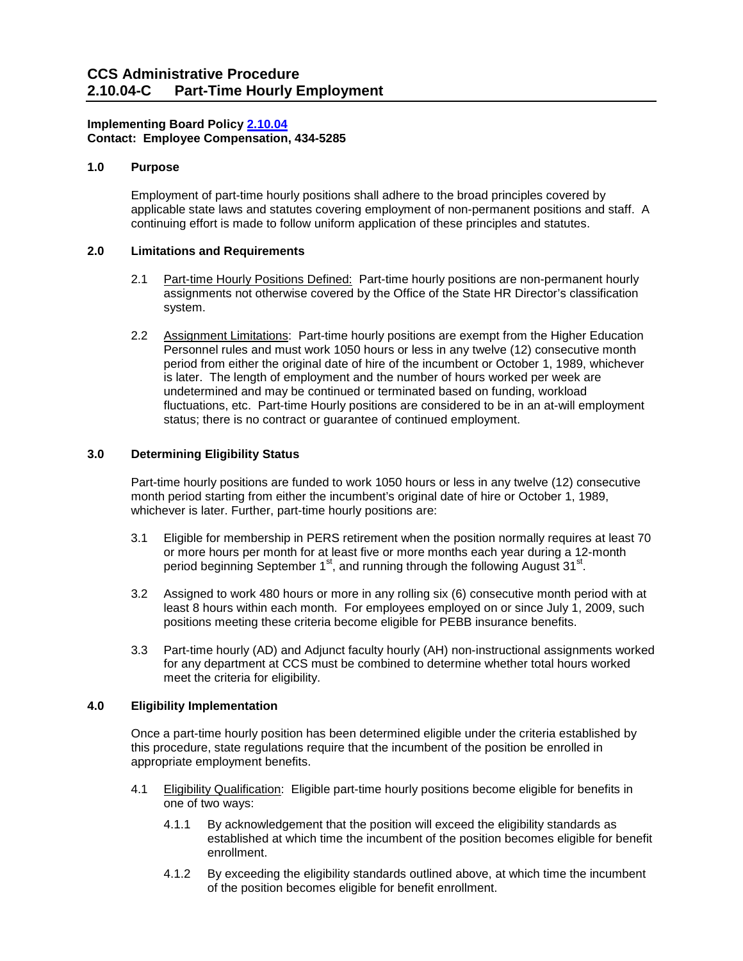### **Implementing Board Policy [2.10.04](https://ccs.spokane.edu/About-Us/Leadership/Board-of-Trustees/Policies-Procedures/Chapter2#AccWE2-4)  Contact: Employee Compensation, 434-5285**

## **1.0 Purpose**

 applicable state laws and statutes covering employment of non-permanent positions and staff. A Employment of part-time hourly positions shall adhere to the broad principles covered by continuing effort is made to follow uniform application of these principles and statutes.

## **2.0 Limitations and Requirements**

- 2.1 Part-time Hourly Positions Defined: Part-time hourly positions are non-permanent hourly assignments not otherwise covered by the Office of the State HR Director's classification system.
- period from either the original date of hire of the incumbent or October 1, 1989, whichever is later. The length of employment and the number of hours worked per week are 2.2 Assignment Limitations: Part-time hourly positions are exempt from the Higher Education Personnel rules and must work 1050 hours or less in any twelve (12) consecutive month undetermined and may be continued or terminated based on funding, workload fluctuations, etc. Part-time Hourly positions are considered to be in an at-will employment status; there is no contract or guarantee of continued employment.

# **3.0 Determining Eligibility Status**

 month period starting from either the incumbent's original date of hire or October 1, 1989, Part-time hourly positions are funded to work 1050 hours or less in any twelve (12) consecutive whichever is later. Further, part-time hourly positions are:

- 3.1 Eligible for membership in PERS retirement when the position normally requires at least 70 or more hours per month for at least five or more months each year during a 12-month period beginning September 1<sup>st</sup>, and running through the following August 31<sup>st</sup>.
- 3.2 Assigned to work 480 hours or more in any rolling six (6) consecutive month period with at least 8 hours within each month. For employees employed on or since July 1, 2009, such positions meeting these criteria become eligible for PEBB insurance benefits.
- for any department at CCS must be combined to determine whether total hours worked 3.3 Part-time hourly (AD) and Adjunct faculty hourly (AH) non-instructional assignments worked meet the criteria for eligibility.

### **4.0 Eligibility Implementation**

Once a part-time hourly position has been determined eligible under the criteria established by this procedure, state regulations require that the incumbent of the position be enrolled in appropriate employment benefits.

- one of two ways: 4.1 Eligibility Qualification: Eligible part-time hourly positions become eligible for benefits in
	- 4.1.1 By acknowledgement that the position will exceed the eligibility standards as established at which time the incumbent of the position becomes eligible for benefit enrollment.
	- 4.1.2 By exceeding the eligibility standards outlined above, at which time the incumbent of the position becomes eligible for benefit enrollment.